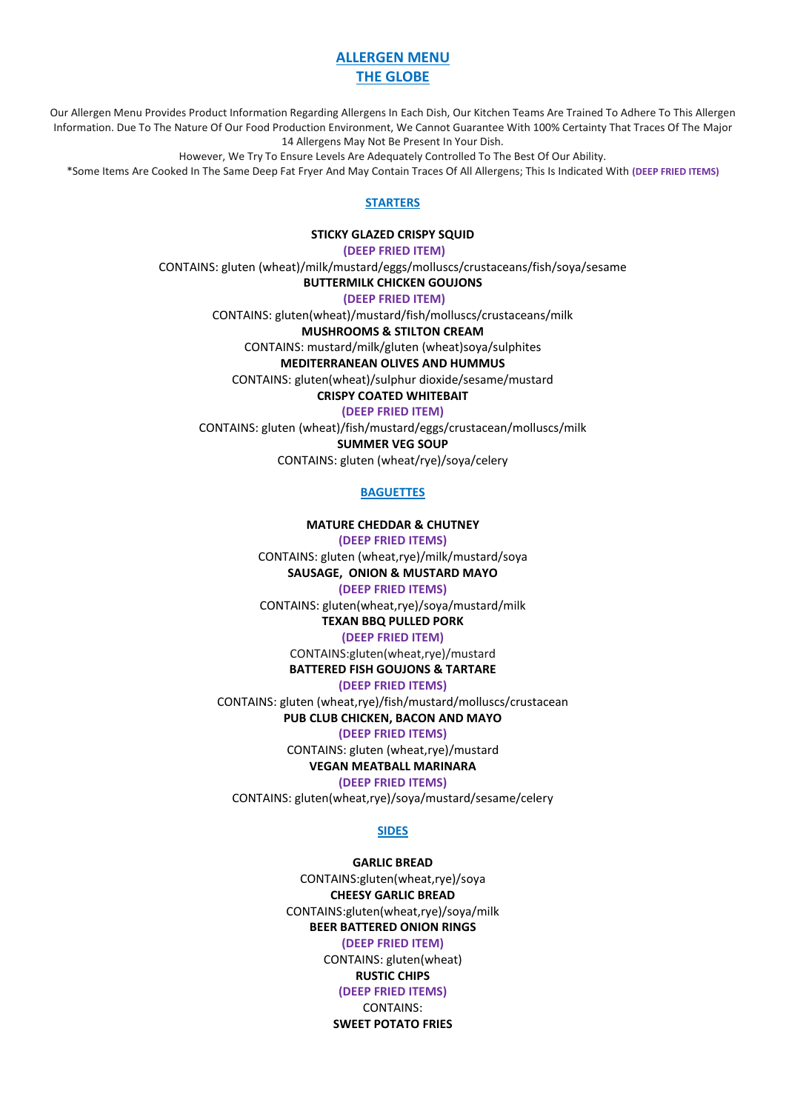# **ALLERGEN MENU THE GLOBE**

Our Allergen Menu Provides Product Information Regarding Allergens In Each Dish, Our Kitchen Teams Are Trained To Adhere To This Allergen Information. Due To The Nature Of Our Food Production Environment, We Cannot Guarantee With 100% Certainty That Traces Of The Major 14 Allergens May Not Be Present In Your Dish.

However, We Try To Ensure Levels Are Adequately Controlled To The Best Of Our Ability.

\*Some Items Are Cooked In The Same Deep Fat Fryer And May Contain Traces Of All Allergens; This Is Indicated With **(DEEP FRIED ITEMS)**

#### **STARTERS**

**STICKY GLAZED CRISPY SQUID**

**(DEEP FRIED ITEM)**

CONTAINS: gluten (wheat)/milk/mustard/eggs/molluscs/crustaceans/fish/soya/sesame

**BUTTERMILK CHICKEN GOUJONS**

**(DEEP FRIED ITEM)**

CONTAINS: gluten(wheat)/mustard/fish/molluscs/crustaceans/milk

**MUSHROOMS & STILTON CREAM**

CONTAINS: mustard/milk/gluten (wheat)soya/sulphites

**MEDITERRANEAN OLIVES AND HUMMUS**

CONTAINS: gluten(wheat)/sulphur dioxide/sesame/mustard

**CRISPY COATED WHITEBAIT**

**(DEEP FRIED ITEM)**

CONTAINS: gluten (wheat)/fish/mustard/eggs/crustacean/molluscs/milk **SUMMER VEG SOUP**

CONTAINS: gluten (wheat/rye)/soya/celery

## **BAGUETTES**

#### **MATURE CHEDDAR & CHUTNEY**

**(DEEP FRIED ITEMS)**

CONTAINS: gluten (wheat,rye)/milk/mustard/soya **SAUSAGE, ONION & MUSTARD MAYO**

# **(DEEP FRIED ITEMS)**

CONTAINS: gluten(wheat,rye)/soya/mustard/milk

**TEXAN BBQ PULLED PORK**

# **(DEEP FRIED ITEM)**

CONTAINS:gluten(wheat,rye)/mustard

# **BATTERED FISH GOUJONS & TARTARE**

**(DEEP FRIED ITEMS)**

CONTAINS: gluten (wheat,rye)/fish/mustard/molluscs/crustacean

# **PUB CLUB CHICKEN, BACON AND MAYO**

**(DEEP FRIED ITEMS)**

CONTAINS: gluten (wheat,rye)/mustard

#### **VEGAN MEATBALL MARINARA (DEEP FRIED ITEMS)**

CONTAINS: gluten(wheat,rye)/soya/mustard/sesame/celery

## **SIDES**

# **GARLIC BREAD**

CONTAINS:gluten(wheat,rye)/soya **CHEESY GARLIC BREAD** CONTAINS:gluten(wheat,rye)/soya/milk **BEER BATTERED ONION RINGS (DEEP FRIED ITEM)** CONTAINS: gluten(wheat) **RUSTIC CHIPS (DEEP FRIED ITEMS)** CONTAINS: **SWEET POTATO FRIES**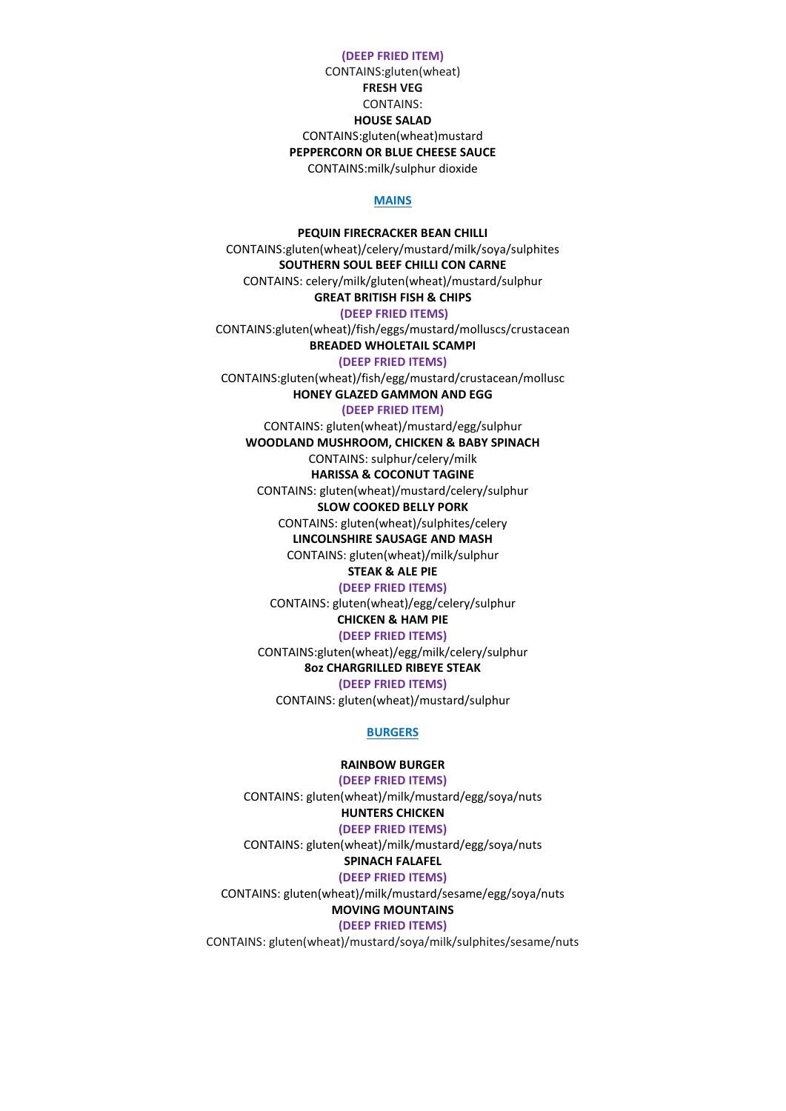#### **(DEEP FRIED ITEM)**

CONTAINS:gluten(wheat) **FRESH VEG** CONTAINS: **HOUSE SALAD** CONTAINS:gluten(wheat)mustard **PEPPERCORN OR BLUE CHEESE SAUCE** CONTAINS:milk/sulphur dioxide

#### **MAINS**

**PEQUIN FIRECRACKER BEAN CHILLI** CONTAINS:gluten(wheat)/celery/mustard/milk/soya/sulphites **SOUTHERN SOUL BEEF CHILLI CON CARNE** CONTAINS: celery/milk/gluten(wheat)/mustard/sulphur **GREAT BRITISH FISH & CHIPS (DEEP FRIED ITEMS)** CONTAINS:gluten(wheat)/fish/eggs/mustard/molluscs/crustacean **BREADED WHOLETAIL SCAMPI (DEEP FRIED ITEMS)** CONTAINS:gluten(wheat)/fish/egg/mustard/crustacean/mollusc **HONEY GLAZED GAMMON AND EGG (DEEP FRIED ITEM)** CONTAINS: gluten(wheat)/mustard/egg/sulphur **WOODLAND MUSHROOM, CHICKEN & BABY SPINACH** CONTAINS: sulphur/celery/milk **HARISSA & COCONUT TAGINE** CONTAINS: gluten(wheat)/mustard/celery/sulphur **SLOW COOKED BELLY PORK** CONTAINS: gluten(wheat)/sulphites/celery **LINCOLNSHIRE SAUSAGE AND MASH** CONTAINS: gluten(wheat)/milk/sulphur **STEAK & ALE PIE (DEEP FRIED ITEMS)** CONTAINS: gluten(wheat)/egg/celery/sulphur **CHICKEN & HAM PIE (DEEP FRIED ITEMS)**

CONTAINS:gluten(wheat)/egg/milk/celery/sulphur **8oz CHARGRILLED RIBEYE STEAK (DEEP FRIED ITEMS)**

CONTAINS: gluten(wheat)/mustard/sulphur

#### **BURGERS**

#### **RAINBOW BURGER**

**(DEEP FRIED ITEMS)** CONTAINS: gluten(wheat)/milk/mustard/egg/soya/nuts

#### **HUNTERS CHICKEN**

**(DEEP FRIED ITEMS)** CONTAINS: gluten(wheat)/milk/mustard/egg/soya/nuts

# **SPINACH FALAFEL**

**(DEEP FRIED ITEMS)**

CONTAINS: gluten(wheat)/milk/mustard/sesame/egg/soya/nuts

#### **MOVING MOUNTAINS**

## **(DEEP FRIED ITEMS)**

CONTAINS: gluten(wheat)/mustard/soya/milk/sulphites/sesame/nuts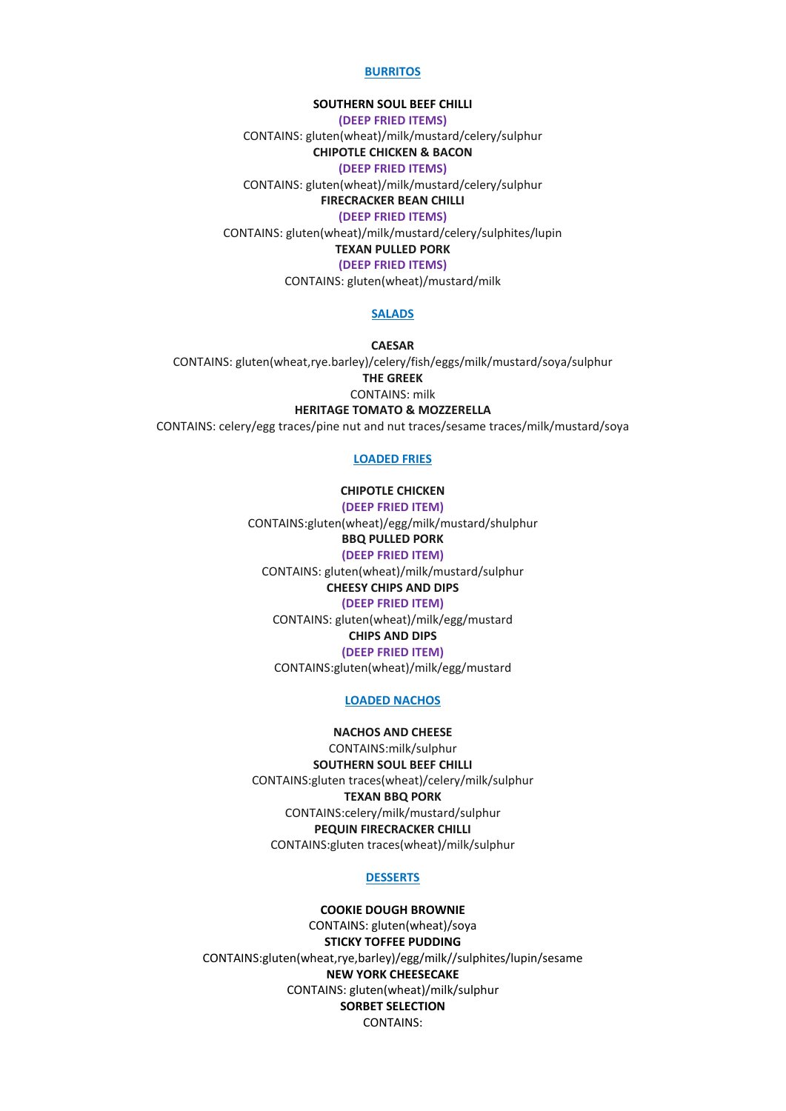#### **BURRITOS**

# **SOUTHERN SOUL BEEF CHILLI**

**(DEEP FRIED ITEMS)**

CONTAINS: gluten(wheat)/milk/mustard/celery/sulphur

**CHIPOTLE CHICKEN & BACON**

**(DEEP FRIED ITEMS)**

CONTAINS: gluten(wheat)/milk/mustard/celery/sulphur

**FIRECRACKER BEAN CHILLI (DEEP FRIED ITEMS)**

CONTAINS: gluten(wheat)/milk/mustard/celery/sulphites/lupin

**TEXAN PULLED PORK**

**(DEEP FRIED ITEMS)**

CONTAINS: gluten(wheat)/mustard/milk

#### **SALADS**

**CAESAR** CONTAINS: gluten(wheat,rye.barley)/celery/fish/eggs/milk/mustard/soya/sulphur **THE GREEK** CONTAINS: milk **HERITAGE TOMATO & MOZZERELLA**

CONTAINS: celery/egg traces/pine nut and nut traces/sesame traces/milk/mustard/soya

#### **LOADED FRIES**

# **CHIPOTLE CHICKEN**

**(DEEP FRIED ITEM)** CONTAINS:gluten(wheat)/egg/milk/mustard/shulphur **BBQ PULLED PORK (DEEP FRIED ITEM)** CONTAINS: gluten(wheat)/milk/mustard/sulphur **CHEESY CHIPS AND DIPS (DEEP FRIED ITEM)** CONTAINS: gluten(wheat)/milk/egg/mustard **CHIPS AND DIPS**

#### **(DEEP FRIED ITEM)**

CONTAINS:gluten(wheat)/milk/egg/mustard

#### **LOADED NACHOS**

#### **NACHOS AND CHEESE**

CONTAINS:milk/sulphur **SOUTHERN SOUL BEEF CHILLI** CONTAINS:gluten traces(wheat)/celery/milk/sulphur **TEXAN BBQ PORK** CONTAINS:celery/milk/mustard/sulphur **PEQUIN FIRECRACKER CHILLI** CONTAINS:gluten traces(wheat)/milk/sulphur

#### **DESSERTS**

**COOKIE DOUGH BROWNIE** CONTAINS: gluten(wheat)/soya **STICKY TOFFEE PUDDING** CONTAINS:gluten(wheat,rye,barley)/egg/milk//sulphites/lupin/sesame **NEW YORK CHEESECAKE** CONTAINS: gluten(wheat)/milk/sulphur **SORBET SELECTION** CONTAINS: